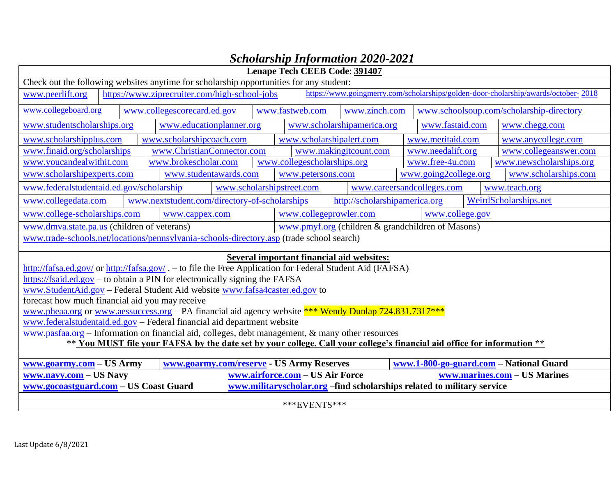|                                                                                                                                                                | Lenape Tech CEEB Code: 391407                                                                    |  |                                               |                                 |                 |                             |                                                                                    |                       |                                          |
|----------------------------------------------------------------------------------------------------------------------------------------------------------------|--------------------------------------------------------------------------------------------------|--|-----------------------------------------------|---------------------------------|-----------------|-----------------------------|------------------------------------------------------------------------------------|-----------------------|------------------------------------------|
| Check out the following websites anytime for scholarship opportunities for any student:                                                                        |                                                                                                  |  |                                               |                                 |                 |                             |                                                                                    |                       |                                          |
| www.peerlift.org                                                                                                                                               | https://www.ziprecruiter.com/high-school-jobs                                                    |  |                                               |                                 |                 |                             | https://www.goingmerry.com/scholarships/golden-door-cholarship/awards/october-2018 |                       |                                          |
| www.collegeboard.org                                                                                                                                           |                                                                                                  |  | www.collegescorecard.ed.gov                   |                                 | www.fastweb.com |                             | www.zinch.com                                                                      |                       | www.schoolsoup.com/scholarship-directory |
| www.studentscholarships.org<br>www.scholarshipamerica.org<br>www.fastaid.com<br>www.educationplanner.org                                                       |                                                                                                  |  | www.chegg.com                                 |                                 |                 |                             |                                                                                    |                       |                                          |
| www.scholarshipplus.com                                                                                                                                        |                                                                                                  |  | www.scholarshipcoach.com                      |                                 |                 | www.scholarshipalert.com    |                                                                                    | www.meritaid.com      | www.anycollege.com                       |
| www.finaid.org/scholarships                                                                                                                                    |                                                                                                  |  | www.ChristianConnector.com                    |                                 |                 |                             | www.makingitcount.com                                                              | www.needalift.org     | www.collegeanswer.com                    |
| www.youcandealwithit.com                                                                                                                                       |                                                                                                  |  | www.brokescholar.com                          |                                 |                 | www.collegescholarships.org |                                                                                    | www.free-4u.com       | www.newscholarships.org                  |
| www.scholarshipexperts.com                                                                                                                                     |                                                                                                  |  | www.studentawards.com                         |                                 |                 | www.petersons.com           |                                                                                    | www.going2college.org | www.scholarships.com                     |
| www.federalstudentaid.ed.gov/scholarship                                                                                                                       |                                                                                                  |  |                                               | www.scholarshipstreet.com       |                 |                             | www.careersandcolleges.com                                                         |                       | www.teach.org                            |
| www.collegedata.com                                                                                                                                            |                                                                                                  |  | www.nextstudent.com/directory-of-scholarships |                                 |                 |                             | http://scholarshipamerica.org                                                      |                       | WeirdScholarships.net                    |
| www.college-scholarships.com                                                                                                                                   |                                                                                                  |  | www.cappex.com                                |                                 |                 | www.collegeprowler.com      |                                                                                    | www.college.gov       |                                          |
|                                                                                                                                                                | www.dmva.state.pa.us (children of veterans)<br>www.pmyf.org (children & grandchildren of Masons) |  |                                               |                                 |                 |                             |                                                                                    |                       |                                          |
| www.trade-schools.net/locations/pennsylvania-schools-directory.asp (trade school search)                                                                       |                                                                                                  |  |                                               |                                 |                 |                             |                                                                                    |                       |                                          |
|                                                                                                                                                                |                                                                                                  |  |                                               |                                 |                 |                             |                                                                                    |                       |                                          |
| <b>Several important financial aid websites:</b><br>http://fafsa.ed.gov/ or http://fafsa.gov/ . - to file the Free Application for Federal Student Aid (FAFSA) |                                                                                                  |  |                                               |                                 |                 |                             |                                                                                    |                       |                                          |
| $\frac{https://fsaid.edu.gov - to obtain a PIN}{}$ for electronically signing the FAFSA                                                                        |                                                                                                  |  |                                               |                                 |                 |                             |                                                                                    |                       |                                          |
| www.StudentAid.gov - Federal Student Aid website www.fafsa4caster.ed.gov to                                                                                    |                                                                                                  |  |                                               |                                 |                 |                             |                                                                                    |                       |                                          |
| forecast how much financial aid you may receive                                                                                                                |                                                                                                  |  |                                               |                                 |                 |                             |                                                                                    |                       |                                          |
| www.pheaa.org or www.aessuccess.org – PA financial aid agency website *** Wendy Dunlap 724.831.7317***                                                         |                                                                                                  |  |                                               |                                 |                 |                             |                                                                                    |                       |                                          |
| www.federalstudentaid.ed.gov – Federal financial aid department website                                                                                        |                                                                                                  |  |                                               |                                 |                 |                             |                                                                                    |                       |                                          |
| $\underline{www.pasfaa.org}$ – Information on financial aid, colleges, debt management, & many other resources                                                 |                                                                                                  |  |                                               |                                 |                 |                             |                                                                                    |                       |                                          |
| ** You MUST file your FAFSA by the date set by your college. Call your college's financial aid office for information **                                       |                                                                                                  |  |                                               |                                 |                 |                             |                                                                                    |                       |                                          |
|                                                                                                                                                                |                                                                                                  |  |                                               |                                 |                 |                             |                                                                                    |                       |                                          |
| www.goarmy.com/reserve - US Army Reserves<br>www.1-800-go-guard.com - National Guard<br>www.goarmy.com - US Army                                               |                                                                                                  |  |                                               |                                 |                 |                             |                                                                                    |                       |                                          |
| www.navy.com - US Navy                                                                                                                                         |                                                                                                  |  |                                               | www.airforce.com - US Air Force |                 |                             |                                                                                    |                       | www.marines.com - US Marines             |
| www.gocoastguard.com - US Coast Guard<br>www.militaryscholar.org -find scholarships related to military service                                                |                                                                                                  |  |                                               |                                 |                 |                             |                                                                                    |                       |                                          |

## *Scholarship Information 2020-2021*

\*\*\*EVENTS\*\*\*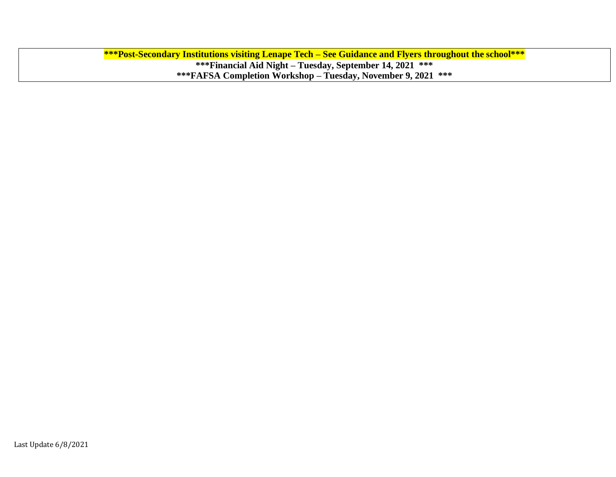**\*\*\*Post-Secondary Institutions visiting Lenape Tech – See Guidance and Flyers throughout the school\*\*\* \*\*\*Financial Aid Night – Tuesday, September 14, 2021 \*\*\* \*\*\*FAFSA Completion Workshop – Tuesday, November 9, 2021 \*\*\***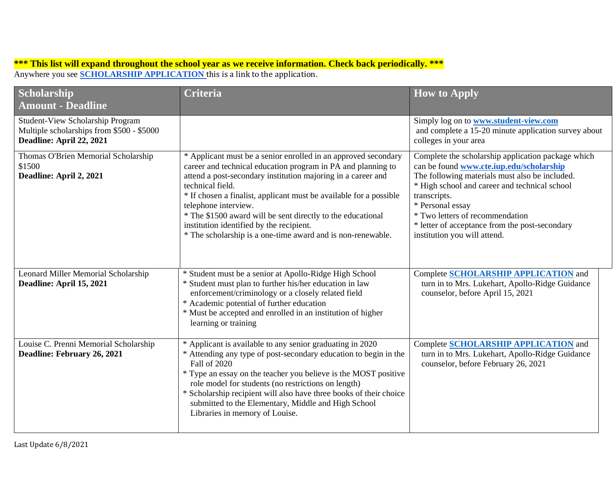## **\*\*\* This list will expand throughout the school year as we receive information. Check back periodically. \*\*\*** Anywhere you see **SCHOLARSHIP APPLICATION** this is a link to the application.

| Scholarship<br><b>Amount - Deadline</b>                                                                          | <b>Criteria</b>                                                                                                                                                                                                                                                                                                                                                                                                                                                                            | <b>How to Apply</b>                                                                                                                                                                                                                                                                                                                                        |
|------------------------------------------------------------------------------------------------------------------|--------------------------------------------------------------------------------------------------------------------------------------------------------------------------------------------------------------------------------------------------------------------------------------------------------------------------------------------------------------------------------------------------------------------------------------------------------------------------------------------|------------------------------------------------------------------------------------------------------------------------------------------------------------------------------------------------------------------------------------------------------------------------------------------------------------------------------------------------------------|
| <b>Student-View Scholarship Program</b><br>Multiple scholarships from \$500 - \$5000<br>Deadline: April 22, 2021 |                                                                                                                                                                                                                                                                                                                                                                                                                                                                                            | Simply log on to <b>www.student-view.com</b><br>and complete a 15-20 minute application survey about<br>colleges in your area                                                                                                                                                                                                                              |
| Thomas O'Brien Memorial Scholarship<br>\$1500<br>Deadline: April 2, 2021                                         | * Applicant must be a senior enrolled in an approved secondary<br>career and technical education program in PA and planning to<br>attend a post-secondary institution majoring in a career and<br>technical field.<br>* If chosen a finalist, applicant must be available for a possible<br>telephone interview.<br>* The \$1500 award will be sent directly to the educational<br>institution identified by the recipient.<br>* The scholarship is a one-time award and is non-renewable. | Complete the scholarship application package which<br>can be found www.cte.iup.edu/scholarship<br>The following materials must also be included.<br>* High school and career and technical school<br>transcripts.<br>* Personal essay<br>* Two letters of recommendation<br>* letter of acceptance from the post-secondary<br>institution you will attend. |
| Leonard Miller Memorial Scholarship<br>Deadline: April 15, 2021                                                  | * Student must be a senior at Apollo-Ridge High School<br>* Student must plan to further his/her education in law<br>enforcement/criminology or a closely related field<br>* Academic potential of further education<br>* Must be accepted and enrolled in an institution of higher<br>learning or training                                                                                                                                                                                | Complete SCHOLARSHIP APPLICATION and<br>turn in to Mrs. Lukehart, Apollo-Ridge Guidance<br>counselor, before April 15, 2021                                                                                                                                                                                                                                |
| Louise C. Prenni Memorial Scholarship<br>Deadline: February 26, 2021                                             | * Applicant is available to any senior graduating in 2020<br>* Attending any type of post-secondary education to begin in the<br><b>Fall of 2020</b><br>* Type an essay on the teacher you believe is the MOST positive<br>role model for students (no restrictions on length)<br>* Scholarship recipient will also have three books of their choice<br>submitted to the Elementary, Middle and High School<br>Libraries in memory of Louise.                                              | <b>Complete SCHOLARSHIP APPLICATION and</b><br>turn in to Mrs. Lukehart, Apollo-Ridge Guidance<br>counselor, before February 26, 2021                                                                                                                                                                                                                      |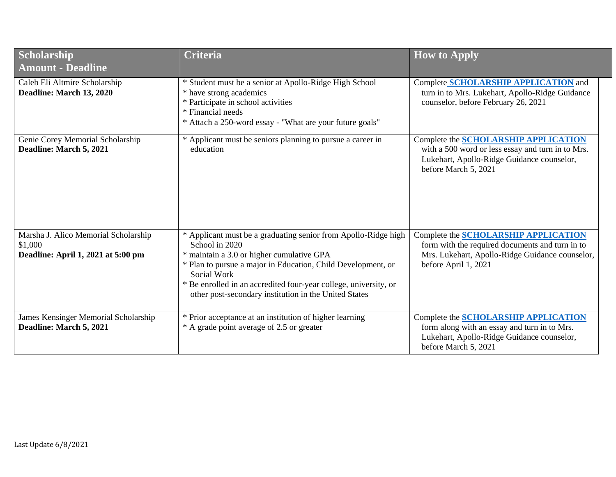| Scholarship<br><b>Amount - Deadline</b>                                               | <b>Criteria</b>                                                                                                                                                                                                                                                                                                                           | <b>How to Apply</b>                                                                                                                                                       |
|---------------------------------------------------------------------------------------|-------------------------------------------------------------------------------------------------------------------------------------------------------------------------------------------------------------------------------------------------------------------------------------------------------------------------------------------|---------------------------------------------------------------------------------------------------------------------------------------------------------------------------|
| Caleb Eli Altmire Scholarship<br>Deadline: March 13, 2020                             | * Student must be a senior at Apollo-Ridge High School<br>* have strong academics<br>* Participate in school activities<br>* Financial needs<br>* Attach a 250-word essay - "What are your future goals"                                                                                                                                  | Complete SCHOLARSHIP APPLICATION and<br>turn in to Mrs. Lukehart, Apollo-Ridge Guidance<br>counselor, before February 26, 2021                                            |
| Genie Corey Memorial Scholarship<br>Deadline: March 5, 2021                           | * Applicant must be seniors planning to pursue a career in<br>education                                                                                                                                                                                                                                                                   | Complete the <b>SCHOLARSHIP APPLICATION</b><br>with a 500 word or less essay and turn in to Mrs.<br>Lukehart, Apollo-Ridge Guidance counselor,<br>before March 5, 2021    |
| Marsha J. Alico Memorial Scholarship<br>\$1,000<br>Deadline: April 1, 2021 at 5:00 pm | * Applicant must be a graduating senior from Apollo-Ridge high<br>School in 2020<br>* maintain a 3.0 or higher cumulative GPA<br>* Plan to pursue a major in Education, Child Development, or<br>Social Work<br>* Be enrolled in an accredited four-year college, university, or<br>other post-secondary institution in the United States | Complete the <b>SCHOLARSHIP APPLICATION</b><br>form with the required documents and turn in to<br>Mrs. Lukehart, Apollo-Ridge Guidance counselor,<br>before April 1, 2021 |
| James Kensinger Memorial Scholarship<br>Deadline: March 5, 2021                       | * Prior acceptance at an institution of higher learning<br>* A grade point average of 2.5 or greater                                                                                                                                                                                                                                      | Complete the <b>SCHOLARSHIP APPLICATION</b><br>form along with an essay and turn in to Mrs.<br>Lukehart, Apollo-Ridge Guidance counselor,<br>before March 5, 2021         |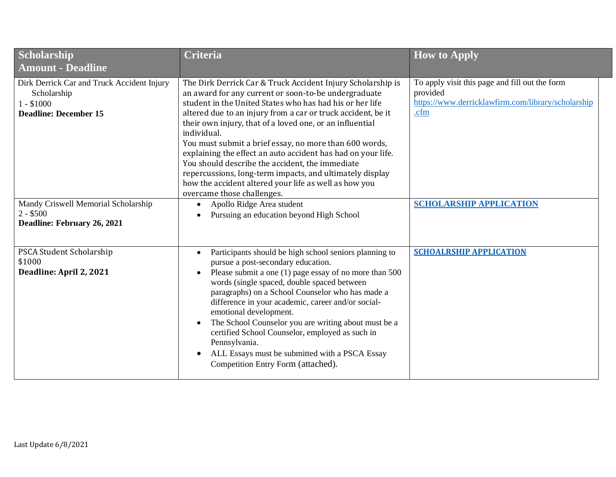| Scholarship<br><b>Amount - Deadline</b>                                                                  | <b>Criteria</b>                                                                                                                                                                                                                                                                                                                                                                                                                                                                                                                                                                                                                                            | <b>How to Apply</b>                                                                                                      |
|----------------------------------------------------------------------------------------------------------|------------------------------------------------------------------------------------------------------------------------------------------------------------------------------------------------------------------------------------------------------------------------------------------------------------------------------------------------------------------------------------------------------------------------------------------------------------------------------------------------------------------------------------------------------------------------------------------------------------------------------------------------------------|--------------------------------------------------------------------------------------------------------------------------|
| Dirk Derrick Car and Truck Accident Injury<br>Scholarship<br>$1 - $1000$<br><b>Deadline: December 15</b> | The Dirk Derrick Car & Truck Accident Injury Scholarship is<br>an award for any current or soon-to-be undergraduate<br>student in the United States who has had his or her life<br>altered due to an injury from a car or truck accident, be it<br>their own injury, that of a loved one, or an influential<br>individual.<br>You must submit a brief essay, no more than 600 words,<br>explaining the effect an auto accident has had on your life.<br>You should describe the accident, the immediate<br>repercussions, long-term impacts, and ultimately display<br>how the accident altered your life as well as how you<br>overcame those challenges. | To apply visit this page and fill out the form<br>provided<br>https://www.derricklawfirm.com/library/scholarship<br>.cfm |
| Mandy Criswell Memorial Scholarship<br>$2 - $500$<br>Deadline: February 26, 2021                         | Apollo Ridge Area student<br>Pursuing an education beyond High School                                                                                                                                                                                                                                                                                                                                                                                                                                                                                                                                                                                      | <b>SCHOLARSHIP APPLICATION</b>                                                                                           |
| PSCA Student Scholarship<br>\$1000<br>Deadline: April 2, 2021                                            | Participants should be high school seniors planning to<br>$\bullet$<br>pursue a post-secondary education.<br>Please submit a one $(1)$ page essay of no more than 500<br>words (single spaced, double spaced between<br>paragraphs) on a School Counselor who has made a<br>difference in your academic, career and/or social-<br>emotional development.<br>The School Counselor you are writing about must be a<br>certified School Counselor, employed as such in<br>Pennsylvania.<br>ALL Essays must be submitted with a PSCA Essay<br>Competition Entry Form (attached).                                                                               | <b>SCHOALRSHIP APPLICATION</b>                                                                                           |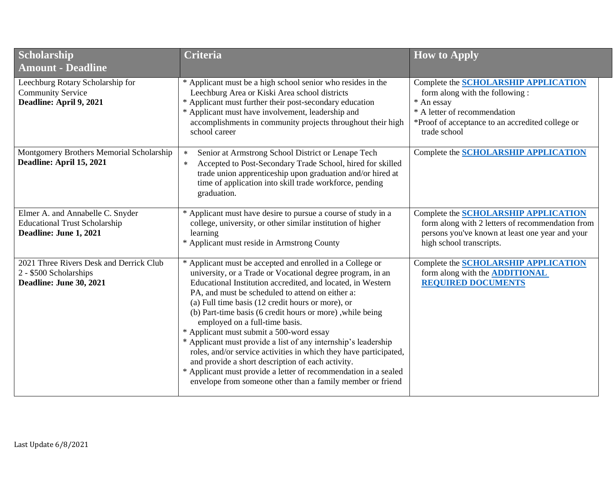| Scholarship<br><b>Amount - Deadline</b>                                                            | <b>Criteria</b>                                                                                                                                                                                                                                                                                                                                                                                                                                                                                                                                                                                                                                                                                                                                                         | <b>How to Apply</b>                                                                                                                                                                              |
|----------------------------------------------------------------------------------------------------|-------------------------------------------------------------------------------------------------------------------------------------------------------------------------------------------------------------------------------------------------------------------------------------------------------------------------------------------------------------------------------------------------------------------------------------------------------------------------------------------------------------------------------------------------------------------------------------------------------------------------------------------------------------------------------------------------------------------------------------------------------------------------|--------------------------------------------------------------------------------------------------------------------------------------------------------------------------------------------------|
| Leechburg Rotary Scholarship for<br><b>Community Service</b><br>Deadline: April 9, 2021            | * Applicant must be a high school senior who resides in the<br>Leechburg Area or Kiski Area school districts<br>* Applicant must further their post-secondary education<br>* Applicant must have involvement, leadership and<br>accomplishments in community projects throughout their high<br>school career                                                                                                                                                                                                                                                                                                                                                                                                                                                            | Complete the <b>SCHOLARSHIP APPLICATION</b><br>form along with the following :<br>* An essay<br>* A letter of recommendation<br>*Proof of acceptance to an accredited college or<br>trade school |
| Montgomery Brothers Memorial Scholarship<br>Deadline: April 15, 2021                               | Senior at Armstrong School District or Lenape Tech<br>$\ast$<br>Accepted to Post-Secondary Trade School, hired for skilled<br>$\ast$<br>trade union apprenticeship upon graduation and/or hired at<br>time of application into skill trade workforce, pending<br>graduation.                                                                                                                                                                                                                                                                                                                                                                                                                                                                                            | <b>Complete the SCHOLARSHIP APPLICATION</b>                                                                                                                                                      |
| Elmer A. and Annabelle C. Snyder<br><b>Educational Trust Scholarship</b><br>Deadline: June 1, 2021 | * Applicant must have desire to pursue a course of study in a<br>college, university, or other similar institution of higher<br>learning<br>* Applicant must reside in Armstrong County                                                                                                                                                                                                                                                                                                                                                                                                                                                                                                                                                                                 | Complete the SCHOLARSHIP APPLICATION<br>form along with 2 letters of recommendation from<br>persons you've known at least one year and your<br>high school transcripts.                          |
| 2021 Three Rivers Desk and Derrick Club<br>2 - \$500 Scholarships<br>Deadline: June 30, 2021       | * Applicant must be accepted and enrolled in a College or<br>university, or a Trade or Vocational degree program, in an<br>Educational Institution accredited, and located, in Western<br>PA, and must be scheduled to attend on either a:<br>(a) Full time basis (12 credit hours or more), or<br>(b) Part-time basis (6 credit hours or more), while being<br>employed on a full-time basis.<br>* Applicant must submit a 500-word essay<br>* Applicant must provide a list of any internship's leadership<br>roles, and/or service activities in which they have participated,<br>and provide a short description of each activity.<br>* Applicant must provide a letter of recommendation in a sealed<br>envelope from someone other than a family member or friend | <b>Complete the SCHOLARSHIP APPLICATION</b><br>form along with the <b>ADDITIONAL</b><br><b>REQUIRED DOCUMENTS</b>                                                                                |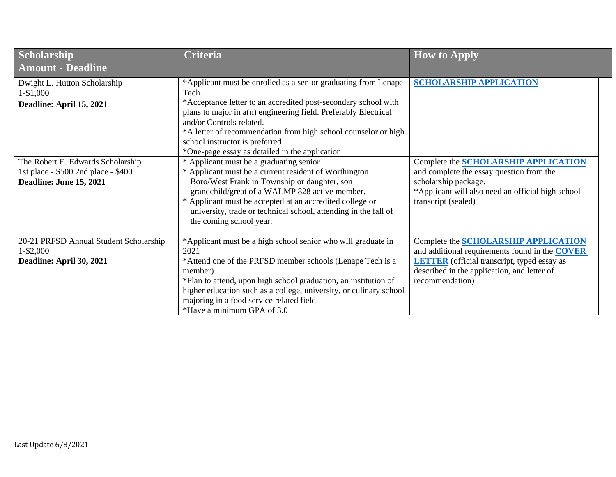| Scholarship<br><b>Amount - Deadline</b>                                                                                                                                      | <b>Criteria</b>                                                                                                                                                                                                                                                                                                                                                                                                                                                                                                                                                                                                                                                                                                                                                | <b>How to Apply</b>                                                                                                                                                                                                           |
|------------------------------------------------------------------------------------------------------------------------------------------------------------------------------|----------------------------------------------------------------------------------------------------------------------------------------------------------------------------------------------------------------------------------------------------------------------------------------------------------------------------------------------------------------------------------------------------------------------------------------------------------------------------------------------------------------------------------------------------------------------------------------------------------------------------------------------------------------------------------------------------------------------------------------------------------------|-------------------------------------------------------------------------------------------------------------------------------------------------------------------------------------------------------------------------------|
| Dwight L. Hutton Scholarship<br>1-\$1,000<br>Deadline: April 15, 2021<br>The Robert E. Edwards Scholarship<br>1st place - \$500 2nd place - \$400<br>Deadline: June 15, 2021 | *Applicant must be enrolled as a senior graduating from Lenape<br>Tech.<br>*Acceptance letter to an accredited post-secondary school with<br>plans to major in a(n) engineering field. Preferably Electrical<br>and/or Controls related.<br>*A letter of recommendation from high school counselor or high<br>school instructor is preferred<br>*One-page essay as detailed in the application<br>* Applicant must be a graduating senior<br>* Applicant must be a current resident of Worthington<br>Boro/West Franklin Township or daughter, son<br>grandchild/great of a WALMP 828 active member.<br>* Applicant must be accepted at an accredited college or<br>university, trade or technical school, attending in the fall of<br>the coming school year. | <b>SCHOLARSHIP APPLICATION</b><br>Complete the <b>SCHOLARSHIP APPLICATION</b><br>and complete the essay question from the<br>scholarship package.<br>*Applicant will also need an official high school<br>transcript (sealed) |
| 20-21 PRFSD Annual Student Scholarship<br>$1 - $2,000$<br>Deadline: April 30, 2021                                                                                           | *Applicant must be a high school senior who will graduate in<br>2021<br>*Attend one of the PRFSD member schools (Lenape Tech is a<br>member)<br>*Plan to attend, upon high school graduation, an institution of<br>higher education such as a college, university, or culinary school<br>majoring in a food service related field<br>*Have a minimum GPA of 3.0                                                                                                                                                                                                                                                                                                                                                                                                | Complete the <b>SCHOLARSHIP APPLICATION</b><br>and additional requirements found in the <b>COVER</b><br><b>LETTER</b> (official transcript, typed essay as<br>described in the application, and letter of<br>recommendation)  |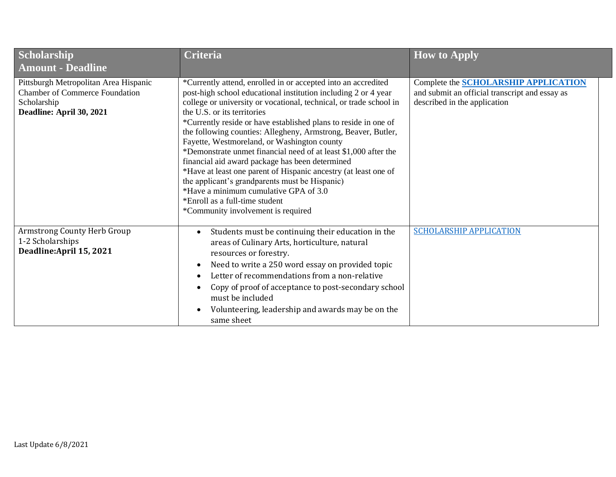| Scholarship<br><b>Amount - Deadline</b>                                                                                   | <b>Criteria</b>                                                                                                                                                                                                                                                                                                                                                                                                                                                                                                                                                                                                                                                                                                                                                                     | <b>How to Apply</b>                                                                                                           |
|---------------------------------------------------------------------------------------------------------------------------|-------------------------------------------------------------------------------------------------------------------------------------------------------------------------------------------------------------------------------------------------------------------------------------------------------------------------------------------------------------------------------------------------------------------------------------------------------------------------------------------------------------------------------------------------------------------------------------------------------------------------------------------------------------------------------------------------------------------------------------------------------------------------------------|-------------------------------------------------------------------------------------------------------------------------------|
| Pittsburgh Metropolitan Area Hispanic<br><b>Chamber of Commerce Foundation</b><br>Scholarship<br>Deadline: April 30, 2021 | *Currently attend, enrolled in or accepted into an accredited<br>post-high school educational institution including 2 or 4 year<br>college or university or vocational, technical, or trade school in<br>the U.S. or its territories<br>*Currently reside or have established plans to reside in one of<br>the following counties: Allegheny, Armstrong, Beaver, Butler,<br>Fayette, Westmoreland, or Washington county<br>*Demonstrate unmet financial need of at least \$1,000 after the<br>financial aid award package has been determined<br>*Have at least one parent of Hispanic ancestry (at least one of<br>the applicant's grandparents must be Hispanic)<br>*Have a minimum cumulative GPA of 3.0<br>*Enroll as a full-time student<br>*Community involvement is required | Complete the <b>SCHOLARSHIP APPLICATION</b><br>and submit an official transcript and essay as<br>described in the application |
| Armstrong County Herb Group<br>1-2 Scholarships<br>Deadline: April 15, 2021                                               | Students must be continuing their education in the<br>$\bullet$<br>areas of Culinary Arts, horticulture, natural<br>resources or forestry.<br>Need to write a 250 word essay on provided topic<br>$\bullet$<br>Letter of recommendations from a non-relative<br>$\bullet$<br>Copy of proof of acceptance to post-secondary school<br>$\bullet$<br>must be included<br>Volunteering, leadership and awards may be on the<br>$\bullet$<br>same sheet                                                                                                                                                                                                                                                                                                                                  | <b>SCHOLARSHIP APPLICATION</b>                                                                                                |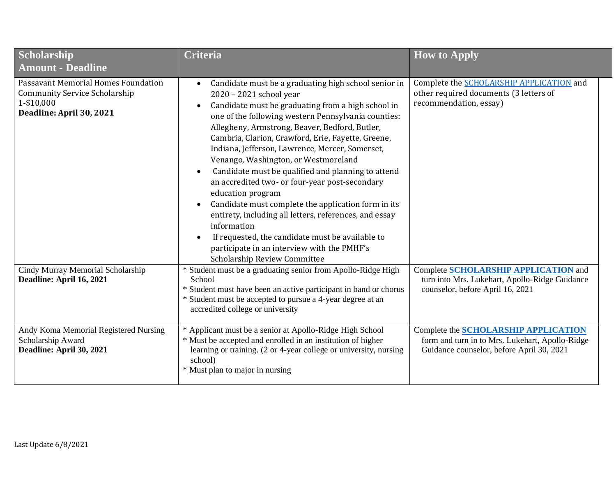| Scholarship<br><b>Amount - Deadline</b>                                                                                      | <b>Criteria</b>                                                                                                                                                                                                                                                                                                                                                                                                                                                                                                                                                                                                                                                                                                                                                                                              | <b>How to Apply</b>                                                                                                                  |
|------------------------------------------------------------------------------------------------------------------------------|--------------------------------------------------------------------------------------------------------------------------------------------------------------------------------------------------------------------------------------------------------------------------------------------------------------------------------------------------------------------------------------------------------------------------------------------------------------------------------------------------------------------------------------------------------------------------------------------------------------------------------------------------------------------------------------------------------------------------------------------------------------------------------------------------------------|--------------------------------------------------------------------------------------------------------------------------------------|
| <b>Passavant Memorial Homes Foundation</b><br><b>Community Service Scholarship</b><br>1-\$10,000<br>Deadline: April 30, 2021 | Candidate must be a graduating high school senior in<br>2020 - 2021 school year<br>Candidate must be graduating from a high school in<br>$\bullet$<br>one of the following western Pennsylvania counties:<br>Allegheny, Armstrong, Beaver, Bedford, Butler,<br>Cambria, Clarion, Crawford, Erie, Fayette, Greene,<br>Indiana, Jefferson, Lawrence, Mercer, Somerset,<br>Venango, Washington, or Westmoreland<br>Candidate must be qualified and planning to attend<br>an accredited two- or four-year post-secondary<br>education program<br>Candidate must complete the application form in its<br>entirety, including all letters, references, and essay<br>information<br>If requested, the candidate must be available to<br>participate in an interview with the PMHF's<br>Scholarship Review Committee | Complete the SCHOLARSHIP APPLICATION and<br>other required documents (3 letters of<br>recommendation, essay)                         |
| Cindy Murray Memorial Scholarship<br>Deadline: April 16, 2021                                                                | * Student must be a graduating senior from Apollo-Ridge High<br>School<br>* Student must have been an active participant in band or chorus<br>* Student must be accepted to pursue a 4-year degree at an<br>accredited college or university                                                                                                                                                                                                                                                                                                                                                                                                                                                                                                                                                                 | Complete SCHOLARSHIP APPLICATION and<br>turn into Mrs. Lukehart, Apollo-Ridge Guidance<br>counselor, before April 16, 2021           |
| Andy Koma Memorial Registered Nursing<br>Scholarship Award<br>Deadline: April 30, 2021                                       | * Applicant must be a senior at Apollo-Ridge High School<br>* Must be accepted and enrolled in an institution of higher<br>learning or training. (2 or 4-year college or university, nursing<br>school)<br>* Must plan to major in nursing                                                                                                                                                                                                                                                                                                                                                                                                                                                                                                                                                                   | Complete the SCHOLARSHIP APPLICATION<br>form and turn in to Mrs. Lukehart, Apollo-Ridge<br>Guidance counselor, before April 30, 2021 |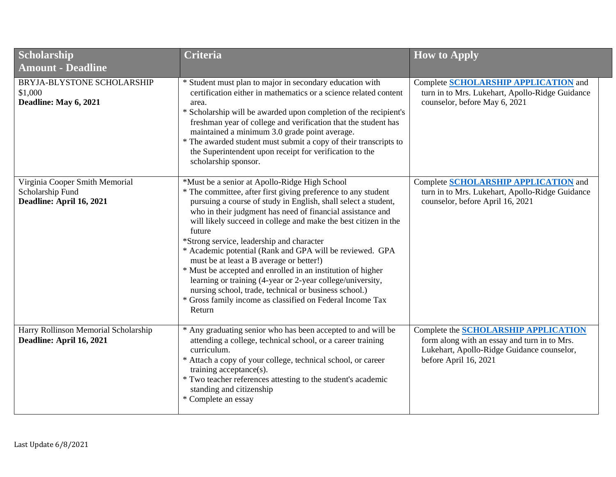| <b>Scholarship</b><br><b>Amount - Deadline</b>                                 | <b>Criteria</b>                                                                                                                                                                                                                                                                                                                                                                                                                                                                                                                                                                                                                                                                                                                               | <b>How to Apply</b>                                                                                                                                                |
|--------------------------------------------------------------------------------|-----------------------------------------------------------------------------------------------------------------------------------------------------------------------------------------------------------------------------------------------------------------------------------------------------------------------------------------------------------------------------------------------------------------------------------------------------------------------------------------------------------------------------------------------------------------------------------------------------------------------------------------------------------------------------------------------------------------------------------------------|--------------------------------------------------------------------------------------------------------------------------------------------------------------------|
| BRYJA-BLYSTONE SCHOLARSHIP<br>\$1,000<br>Deadline: May 6, 2021                 | * Student must plan to major in secondary education with<br>certification either in mathematics or a science related content<br>area.<br>* Scholarship will be awarded upon completion of the recipient's<br>freshman year of college and verification that the student has<br>maintained a minimum 3.0 grade point average.<br>* The awarded student must submit a copy of their transcripts to<br>the Superintendent upon receipt for verification to the<br>scholarship sponsor.                                                                                                                                                                                                                                                           | Complete <b>SCHOLARSHIP APPLICATION</b> and<br>turn in to Mrs. Lukehart, Apollo-Ridge Guidance<br>counselor, before May 6, 2021                                    |
| Virginia Cooper Smith Memorial<br>Scholarship Fund<br>Deadline: April 16, 2021 | *Must be a senior at Apollo-Ridge High School<br>* The committee, after first giving preference to any student<br>pursuing a course of study in English, shall select a student,<br>who in their judgment has need of financial assistance and<br>will likely succeed in college and make the best citizen in the<br>future<br>*Strong service, leadership and character<br>* Academic potential (Rank and GPA will be reviewed. GPA<br>must be at least a B average or better!)<br>* Must be accepted and enrolled in an institution of higher<br>learning or training (4-year or 2-year college/university,<br>nursing school, trade, technical or business school.)<br>* Gross family income as classified on Federal Income Tax<br>Return | Complete <b>SCHOLARSHIP APPLICATION</b> and<br>turn in to Mrs. Lukehart, Apollo-Ridge Guidance<br>counselor, before April 16, 2021                                 |
| Harry Rollinson Memorial Scholarship<br>Deadline: April 16, 2021               | * Any graduating senior who has been accepted to and will be<br>attending a college, technical school, or a career training<br>curriculum.<br>* Attach a copy of your college, technical school, or career<br>training acceptance(s).<br>* Two teacher references attesting to the student's academic<br>standing and citizenship<br>* Complete an essay                                                                                                                                                                                                                                                                                                                                                                                      | Complete the <b>SCHOLARSHIP APPLICATION</b><br>form along with an essay and turn in to Mrs.<br>Lukehart, Apollo-Ridge Guidance counselor,<br>before April 16, 2021 |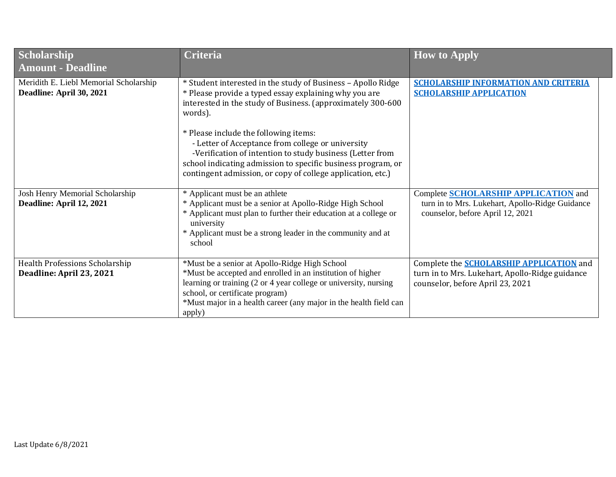| Scholarship<br><b>Amount - Deadline</b>                            | <b>Criteria</b>                                                                                                                                                                                                                                                                                                                                                                                                                                                                           | <b>How to Apply</b>                                                                                                                    |
|--------------------------------------------------------------------|-------------------------------------------------------------------------------------------------------------------------------------------------------------------------------------------------------------------------------------------------------------------------------------------------------------------------------------------------------------------------------------------------------------------------------------------------------------------------------------------|----------------------------------------------------------------------------------------------------------------------------------------|
| Meridith E. Liebl Memorial Scholarship<br>Deadline: April 30, 2021 | * Student interested in the study of Business - Apollo Ridge<br>* Please provide a typed essay explaining why you are<br>interested in the study of Business. (approximately 300-600<br>words).<br>* Please include the following items:<br>- Letter of Acceptance from college or university<br>-Verification of intention to study business (Letter from<br>school indicating admission to specific business program, or<br>contingent admission, or copy of college application, etc.) | <b>SCHOLARSHIP INFORMATION AND CRITERIA</b><br><b>SCHOLARSHIP APPLICATION</b>                                                          |
| Josh Henry Memorial Scholarship<br>Deadline: April 12, 2021        | * Applicant must be an athlete<br>* Applicant must be a senior at Apollo-Ridge High School<br>* Applicant must plan to further their education at a college or<br>university<br>* Applicant must be a strong leader in the community and at<br>school                                                                                                                                                                                                                                     | Complete <b>SCHOLARSHIP APPLICATION</b> and<br>turn in to Mrs. Lukehart, Apollo-Ridge Guidance<br>counselor, before April 12, 2021     |
| Health Professions Scholarship<br>Deadline: April 23, 2021         | *Must be a senior at Apollo-Ridge High School<br>*Must be accepted and enrolled in an institution of higher<br>learning or training (2 or 4 year college or university, nursing<br>school, or certificate program)<br>*Must major in a health career (any major in the health field can<br>apply)                                                                                                                                                                                         | Complete the <b>SCHOLARSHIP APPLICATION</b> and<br>turn in to Mrs. Lukehart, Apollo-Ridge guidance<br>counselor, before April 23, 2021 |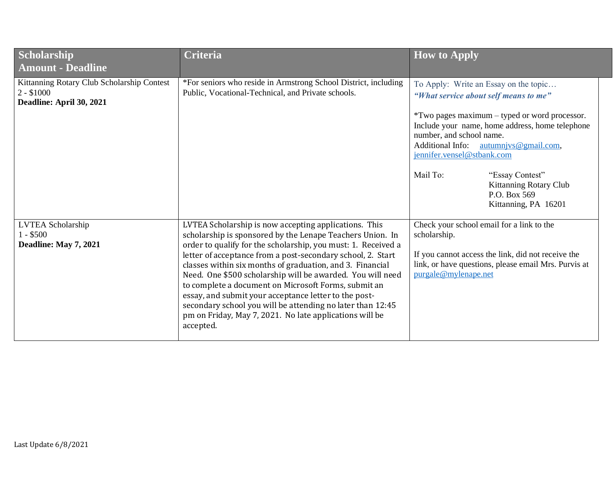| Scholarship<br><b>Amount - Deadline</b>                                               | <b>Criteria</b>                                                                                                                                                                                                                                                                                                                                                                                                                                                                                                                                                                                                                      | <b>How to Apply</b>                                                                                                                                                                                                                                                                                                                                                                              |
|---------------------------------------------------------------------------------------|--------------------------------------------------------------------------------------------------------------------------------------------------------------------------------------------------------------------------------------------------------------------------------------------------------------------------------------------------------------------------------------------------------------------------------------------------------------------------------------------------------------------------------------------------------------------------------------------------------------------------------------|--------------------------------------------------------------------------------------------------------------------------------------------------------------------------------------------------------------------------------------------------------------------------------------------------------------------------------------------------------------------------------------------------|
| Kittanning Rotary Club Scholarship Contest<br>$2 - $1000$<br>Deadline: April 30, 2021 | *For seniors who reside in Armstrong School District, including<br>Public, Vocational-Technical, and Private schools.                                                                                                                                                                                                                                                                                                                                                                                                                                                                                                                | To Apply: Write an Essay on the topic<br>"What service about self means to me"<br>*Two pages maximum – typed or word processor.<br>Include your name, home address, home telephone<br>number, and school name.<br><b>Additional Info:</b><br>autumnjvs@gmail.com,<br>jennifer.vensel@stbank.com<br>Mail To:<br>"Essay Contest"<br>Kittanning Rotary Club<br>P.O. Box 569<br>Kittanning, PA 16201 |
| LVTEA Scholarship<br>$1 - $500$<br>Deadline: May 7, 2021                              | LVTEA Scholarship is now accepting applications. This<br>scholarship is sponsored by the Lenape Teachers Union. In<br>order to qualify for the scholarship, you must: 1. Received a<br>letter of acceptance from a post-secondary school, 2. Start<br>classes within six months of graduation, and 3. Financial<br>Need. One \$500 scholarship will be awarded. You will need<br>to complete a document on Microsoft Forms, submit an<br>essay, and submit your acceptance letter to the post-<br>secondary school you will be attending no later than 12:45<br>pm on Friday, May 7, 2021. No late applications will be<br>accepted. | Check your school email for a link to the<br>scholarship.<br>If you cannot access the link, did not receive the<br>link, or have questions, please email Mrs. Purvis at<br>purgale@mylenape.net                                                                                                                                                                                                  |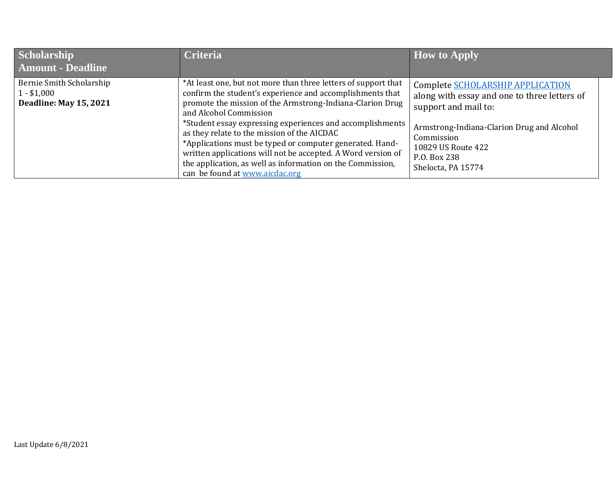| Scholarship<br><b>Amount - Deadline</b>                                   | <b>Criteria</b>                                                                                                                                                                                                                                                                                                                                                                                                                                                                                                                                            | $\parallel$ How to Apply                                                                                                                                                                                                         |
|---------------------------------------------------------------------------|------------------------------------------------------------------------------------------------------------------------------------------------------------------------------------------------------------------------------------------------------------------------------------------------------------------------------------------------------------------------------------------------------------------------------------------------------------------------------------------------------------------------------------------------------------|----------------------------------------------------------------------------------------------------------------------------------------------------------------------------------------------------------------------------------|
| Bernie Smith Scholarship<br>$1 - $1,000$<br><b>Deadline: May 15, 2021</b> | *At least one, but not more than three letters of support that<br>confirm the student's experience and accomplishments that<br>promote the mission of the Armstrong-Indiana-Clarion Drug<br>and Alcohol Commission<br>*Student essay expressing experiences and accomplishments<br>as they relate to the mission of the AICDAC<br>*Applications must be typed or computer generated. Hand-<br>written applications will not be accepted. A Word version of<br>the application, as well as information on the Commission,<br>can be found at www.aicdac.org | Complete SCHOLARSHIP APPLICATION<br>along with essay and one to three letters of<br>support and mail to:<br>Armstrong-Indiana-Clarion Drug and Alcohol<br>Commission<br>10829 US Route 422<br>P.O. Box 238<br>Shelocta, PA 15774 |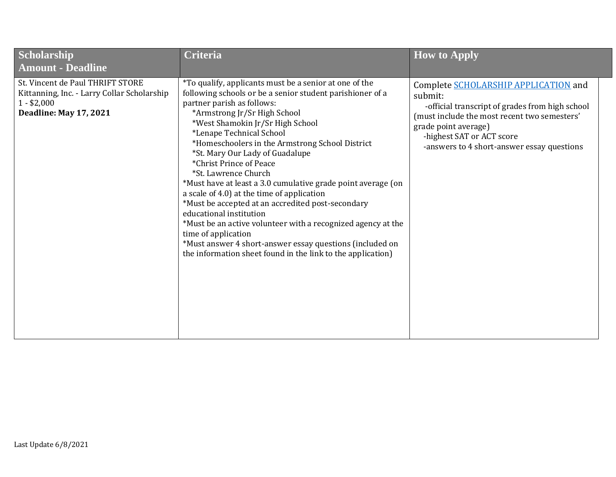| Scholarship<br><b>Amount - Deadline</b>                                                                                          | <b>Criteria</b>                                                                                                                                                                                                                                                                                                                                                                                                                                                                                                                                                                                                                                                                                                                                                                                            | <b>How to Apply</b>                                                                                                                                                                                                                                   |
|----------------------------------------------------------------------------------------------------------------------------------|------------------------------------------------------------------------------------------------------------------------------------------------------------------------------------------------------------------------------------------------------------------------------------------------------------------------------------------------------------------------------------------------------------------------------------------------------------------------------------------------------------------------------------------------------------------------------------------------------------------------------------------------------------------------------------------------------------------------------------------------------------------------------------------------------------|-------------------------------------------------------------------------------------------------------------------------------------------------------------------------------------------------------------------------------------------------------|
| St. Vincent de Paul THRIFT STORE<br>Kittanning, Inc. - Larry Collar Scholarship<br>$1 - $2,000$<br><b>Deadline: May 17, 2021</b> | *To qualify, applicants must be a senior at one of the<br>following schools or be a senior student parishioner of a<br>partner parish as follows:<br>*Armstrong Jr/Sr High School<br>*West Shamokin Jr/Sr High School<br>*Lenape Technical School<br>*Homeschoolers in the Armstrong School District<br>*St. Mary Our Lady of Guadalupe<br>*Christ Prince of Peace<br>*St. Lawrence Church<br>*Must have at least a 3.0 cumulative grade point average (on<br>a scale of 4.0) at the time of application<br>*Must be accepted at an accredited post-secondary<br>educational institution<br>*Must be an active volunteer with a recognized agency at the<br>time of application<br>*Must answer 4 short-answer essay questions (included on<br>the information sheet found in the link to the application) | Complete SCHOLARSHIP APPLICATION and<br>submit:<br>-official transcript of grades from high school<br>(must include the most recent two semesters'<br>grade point average)<br>-highest SAT or ACT score<br>-answers to 4 short-answer essay questions |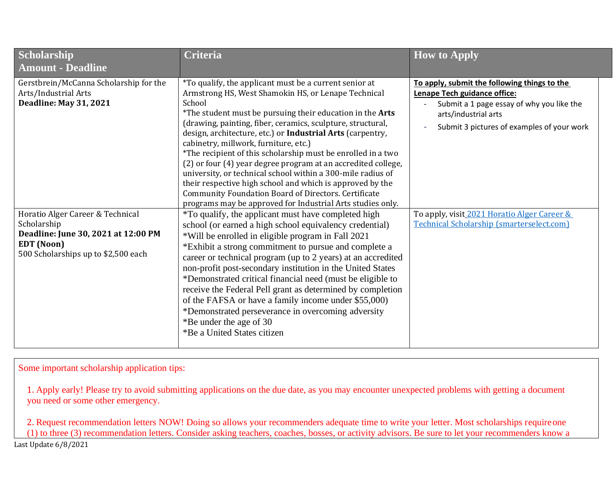| Scholarship<br><b>Amount - Deadline</b>                                                                                             | Criteria                                                                                                                                                                                                                                                                                                                                                                                                                                                                                                                                                                                                                                                                                                                                                                                                           | <b>How to Apply</b>                                                                                                                                                                                                                            |
|-------------------------------------------------------------------------------------------------------------------------------------|--------------------------------------------------------------------------------------------------------------------------------------------------------------------------------------------------------------------------------------------------------------------------------------------------------------------------------------------------------------------------------------------------------------------------------------------------------------------------------------------------------------------------------------------------------------------------------------------------------------------------------------------------------------------------------------------------------------------------------------------------------------------------------------------------------------------|------------------------------------------------------------------------------------------------------------------------------------------------------------------------------------------------------------------------------------------------|
| Gerstbrein/McCanna Scholarship for the<br>Arts/Industrial Arts<br><b>Deadline: May 31, 2021</b><br>Horatio Alger Career & Technical | *To qualify, the applicant must be a current senior at<br>Armstrong HS, West Shamokin HS, or Lenape Technical<br>School<br>*The student must be pursuing their education in the Arts<br>(drawing, painting, fiber, ceramics, sculpture, structural,<br>design, architecture, etc.) or Industrial Arts (carpentry,<br>cabinetry, millwork, furniture, etc.)<br>*The recipient of this scholarship must be enrolled in a two<br>(2) or four (4) year degree program at an accredited college,<br>university, or technical school within a 300-mile radius of<br>their respective high school and which is approved by the<br><b>Community Foundation Board of Directors. Certificate</b><br>programs may be approved for Industrial Arts studies only.<br><i>*To qualify, the applicant must have completed high</i> | To apply, submit the following things to the<br>Lenape Tech guidance office:<br>Submit a 1 page essay of why you like the<br>arts/industrial arts<br>Submit 3 pictures of examples of your work<br>To apply, visit 2021 Horatio Alger Career & |
| Scholarship<br>Deadline: June 30, 2021 at 12:00 PM<br>EDT (Noon)<br>500 Scholarships up to \$2,500 each                             | school (or earned a high school equivalency credential)<br>*Will be enrolled in eligible program in Fall 2021<br>*Exhibit a strong commitment to pursue and complete a<br>career or technical program (up to 2 years) at an accredited<br>non-profit post-secondary institution in the United States<br>*Demonstrated critical financial need (must be eligible to<br>receive the Federal Pell grant as determined by completion<br>of the FAFSA or have a family income under \$55,000)<br>*Demonstrated perseverance in overcoming adversity<br>*Be under the age of 30<br>*Be a United States citizen                                                                                                                                                                                                           | <b>Technical Scholarship (smarterselect.com)</b>                                                                                                                                                                                               |

Some important scholarship application tips:

1. Apply early! Please try to avoid submitting applications on the due date, as you may encounter unexpected problems with getting a document you need or some other emergency.

Last Update 6/8/2021 2. Request recommendation letters NOW! Doing so allows your recommenders adequate time to write your letter. Most scholarships requireone (1) to three (3) recommendation letters. Consider asking teachers, coaches, bosses, or activity advisors. Be sure to let your recommenders know a